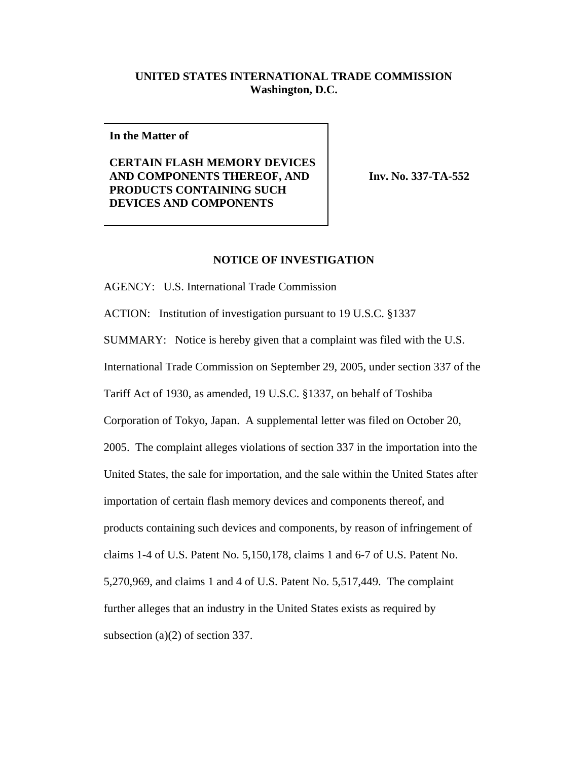## **UNITED STATES INTERNATIONAL TRADE COMMISSION Washington, D.C.**

**In the Matter of**

**CERTAIN FLASH MEMORY DEVICES AND COMPONENTS THEREOF, AND PRODUCTS CONTAINING SUCH DEVICES AND COMPONENTS**

**Inv. No. 337-TA-552** 

## **NOTICE OF INVESTIGATION**

AGENCY: U.S. International Trade Commission

ACTION: Institution of investigation pursuant to 19 U.S.C. §1337

SUMMARY: Notice is hereby given that a complaint was filed with the U.S.

International Trade Commission on September 29, 2005, under section 337 of the

Tariff Act of 1930, as amended, 19 U.S.C. §1337, on behalf of Toshiba

Corporation of Tokyo, Japan. A supplemental letter was filed on October 20, 2005. The complaint alleges violations of section 337 in the importation into the United States, the sale for importation, and the sale within the United States after importation of certain flash memory devices and components thereof, and products containing such devices and components, by reason of infringement of claims 1-4 of U.S. Patent No. 5,150,178, claims 1 and 6-7 of U.S. Patent No. 5,270,969, and claims 1 and 4 of U.S. Patent No. 5,517,449. The complaint further alleges that an industry in the United States exists as required by subsection (a)(2) of section 337.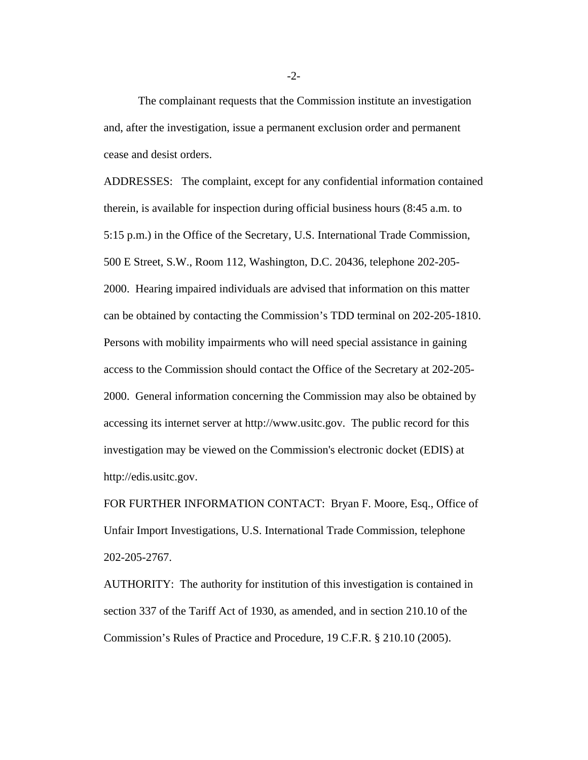The complainant requests that the Commission institute an investigation and, after the investigation, issue a permanent exclusion order and permanent cease and desist orders.

ADDRESSES: The complaint, except for any confidential information contained therein, is available for inspection during official business hours (8:45 a.m. to 5:15 p.m.) in the Office of the Secretary, U.S. International Trade Commission, 500 E Street, S.W., Room 112, Washington, D.C. 20436, telephone 202-205- 2000. Hearing impaired individuals are advised that information on this matter can be obtained by contacting the Commission's TDD terminal on 202-205-1810. Persons with mobility impairments who will need special assistance in gaining access to the Commission should contact the Office of the Secretary at 202-205- 2000. General information concerning the Commission may also be obtained by accessing its internet server at http://www.usitc.gov. The public record for this investigation may be viewed on the Commission's electronic docket (EDIS) at http://edis.usitc.gov.

FOR FURTHER INFORMATION CONTACT: Bryan F. Moore, Esq., Office of Unfair Import Investigations, U.S. International Trade Commission, telephone 202-205-2767.

AUTHORITY: The authority for institution of this investigation is contained in section 337 of the Tariff Act of 1930, as amended, and in section 210.10 of the Commission's Rules of Practice and Procedure, 19 C.F.R. § 210.10 (2005).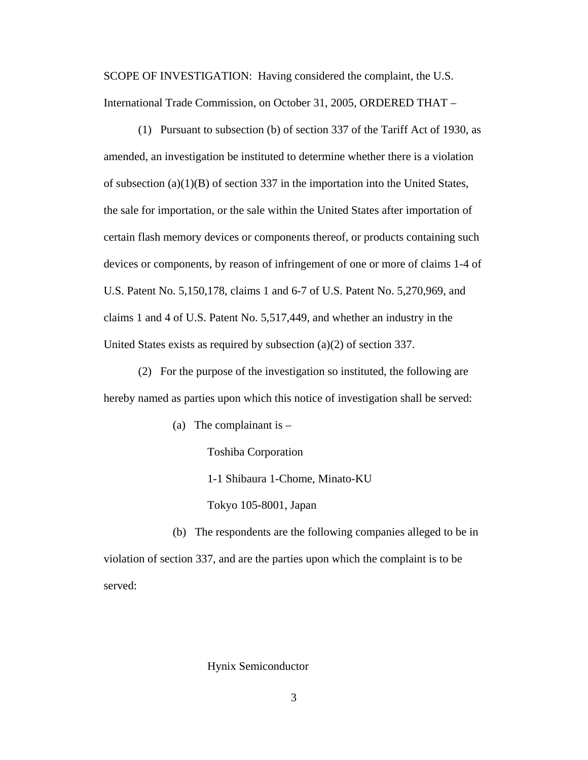SCOPE OF INVESTIGATION: Having considered the complaint, the U.S. International Trade Commission, on October 31, 2005, ORDERED THAT –

(1) Pursuant to subsection (b) of section 337 of the Tariff Act of 1930, as amended, an investigation be instituted to determine whether there is a violation of subsection  $(a)(1)(B)$  of section 337 in the importation into the United States, the sale for importation, or the sale within the United States after importation of certain flash memory devices or components thereof, or products containing such devices or components, by reason of infringement of one or more of claims 1-4 of U.S. Patent No. 5,150,178, claims 1 and 6-7 of U.S. Patent No. 5,270,969, and claims 1 and 4 of U.S. Patent No. 5,517,449, and whether an industry in the United States exists as required by subsection (a)(2) of section 337.

(2) For the purpose of the investigation so instituted, the following are hereby named as parties upon which this notice of investigation shall be served:

(a) The complainant is  $-$ 

Toshiba Corporation

1-1 Shibaura 1-Chome, Minato-KU

Tokyo 105-8001, Japan

(b) The respondents are the following companies alleged to be in violation of section 337, and are the parties upon which the complaint is to be served:

## Hynix Semiconductor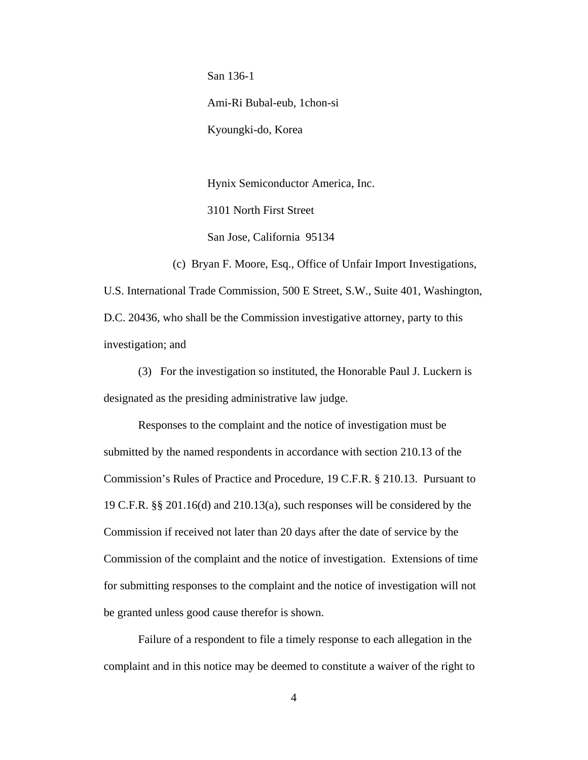San 136-1 Ami-Ri Bubal-eub, 1chon-si Kyoungki-do, Korea

Hynix Semiconductor America, Inc. 3101 North First Street San Jose, California 95134

(c) Bryan F. Moore, Esq., Office of Unfair Import Investigations, U.S. International Trade Commission, 500 E Street, S.W., Suite 401, Washington, D.C. 20436, who shall be the Commission investigative attorney, party to this investigation; and

(3) For the investigation so instituted, the Honorable Paul J. Luckern is designated as the presiding administrative law judge.

Responses to the complaint and the notice of investigation must be submitted by the named respondents in accordance with section 210.13 of the Commission's Rules of Practice and Procedure, 19 C.F.R. § 210.13. Pursuant to 19 C.F.R. §§ 201.16(d) and 210.13(a), such responses will be considered by the Commission if received not later than 20 days after the date of service by the Commission of the complaint and the notice of investigation. Extensions of time for submitting responses to the complaint and the notice of investigation will not be granted unless good cause therefor is shown.

Failure of a respondent to file a timely response to each allegation in the complaint and in this notice may be deemed to constitute a waiver of the right to